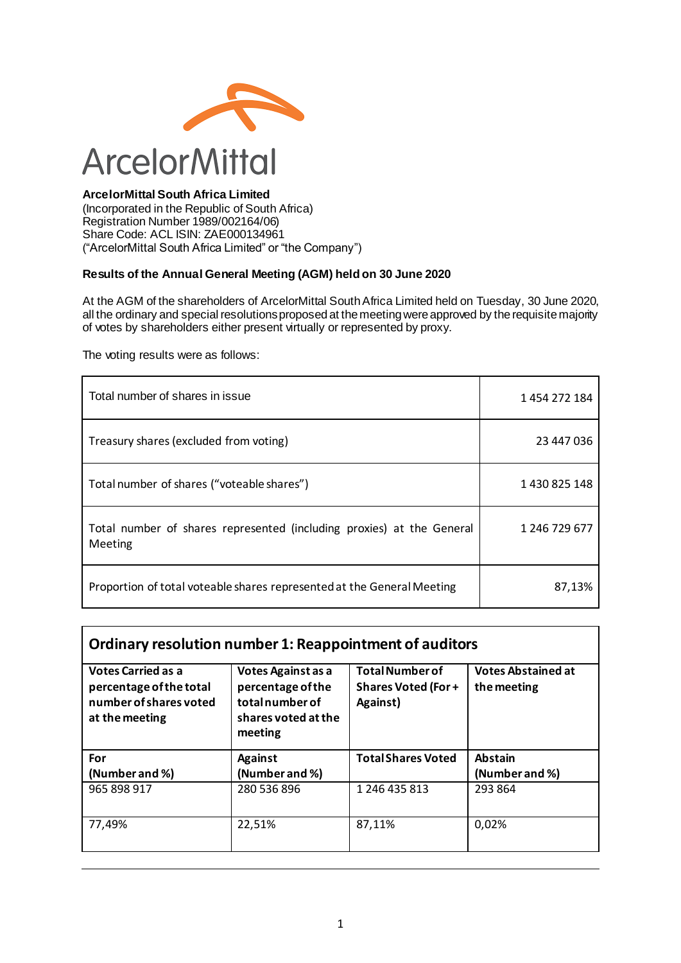

#### **ArcelorMittal South Africa Limited**

(Incorporated in the Republic of South Africa) Registration Number 1989/002164/06) Share Code: ACL ISIN: ZAE000134961 ("ArcelorMittal South Africa Limited" or "the Company")

#### **Results of the Annual General Meeting (AGM) held on 30 June 2020**

At the AGM of the shareholders of ArcelorMittal South Africa Limited held on Tuesday, 30 June 2020, all the ordinary and special resolutions proposed at the meeting were approved by the requisite majority of votes by shareholders either present virtually or represented by proxy.

The voting results were as follows:

| Total number of shares in issue                                                  | 1454272184    |
|----------------------------------------------------------------------------------|---------------|
| Treasury shares (excluded from voting)                                           | 23 447 036    |
| Total number of shares ("voteable shares")                                       | 1430825148    |
| Total number of shares represented (including proxies) at the General<br>Meeting | 1 246 729 677 |
| Proportion of total voteable shares represented at the General Meeting           | 87,13%        |

#### **Ordinary resolution number 1: Reappointment of auditors Votes Carried as a percentage of the total number of shares voted Votes Against as a percentage of the total number of Total Number of Shares Voted (For + Against) Votes Abstained at the meeting**

| THE THREE OF SHALLES VOLED.<br>at the meeting | <u>tutamuminei ul</u><br>shares voted at the<br>meeting | Agaillst,                 |                           |
|-----------------------------------------------|---------------------------------------------------------|---------------------------|---------------------------|
| For<br>(Number and %)                         | <b>Against</b><br>(Number and %)                        | <b>Total Shares Voted</b> | Abstain<br>(Number and %) |
| 965 898 917                                   | 280 536 896                                             | 1 246 435 813             | 293 864                   |
| 77,49%                                        | 22,51%                                                  | 87,11%                    | 0,02%                     |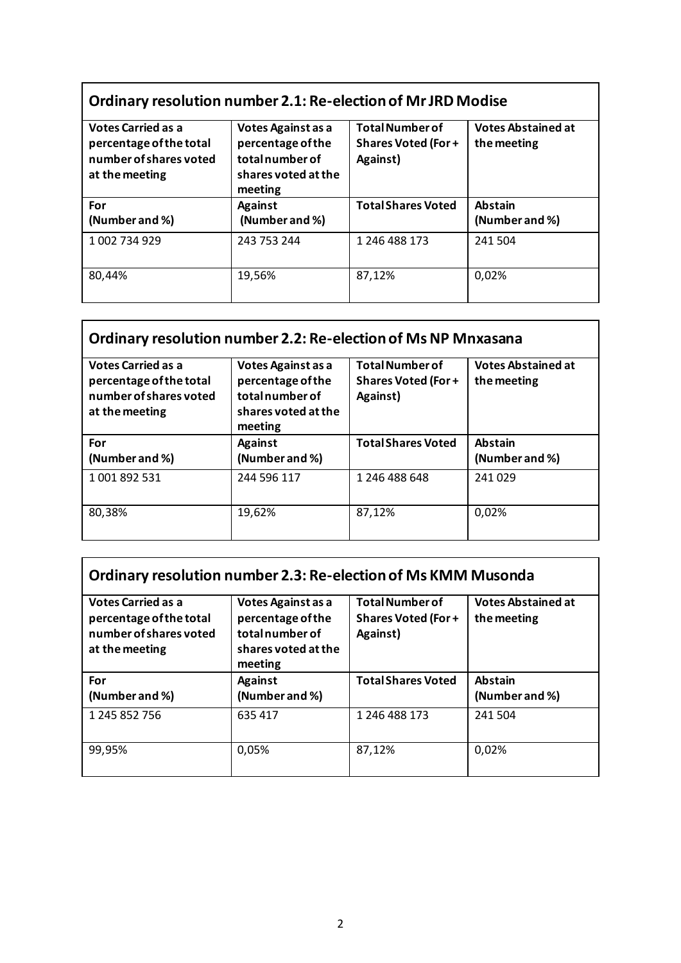# **Ordinary resolution number 2.1: Re-election of Mr JRD Modise**

| <b>Votes Carried as a</b><br>percentage of the total<br>number of shares voted<br>at the meeting | Votes Against as a<br>percentage of the<br>totalnumber of<br>shares voted at the<br>meeting | <b>Total Number of</b><br><b>Shares Voted (For+</b><br>Against) | <b>Votes Abstained at</b><br>the meeting |
|--------------------------------------------------------------------------------------------------|---------------------------------------------------------------------------------------------|-----------------------------------------------------------------|------------------------------------------|
| For<br>(Number and %)                                                                            | <b>Against</b><br>(Number and %)                                                            | <b>Total Shares Voted</b>                                       | <b>Abstain</b><br>(Number and %)         |
| 1 002 734 929                                                                                    | 243 753 244                                                                                 | 1 246 488 173                                                   | 241 504                                  |
| 80,44%                                                                                           | 19,56%                                                                                      | 87,12%                                                          | 0,02%                                    |

# **Ordinary resolution number 2.2: Re-election of Ms NP Mnxasana**

| <b>Votes Carried as a</b><br>percentage of the total<br>number of shares voted<br>at the meeting | Votes Against as a<br>percentage of the<br>total number of<br>shares voted at the<br>meeting | <b>Total Number of</b><br><b>Shares Voted (For+</b><br>Against) | <b>Votes Abstained at</b><br>the meeting |
|--------------------------------------------------------------------------------------------------|----------------------------------------------------------------------------------------------|-----------------------------------------------------------------|------------------------------------------|
| For                                                                                              | <b>Against</b>                                                                               | <b>Total Shares Voted</b>                                       | <b>Abstain</b>                           |
| (Number and %)                                                                                   | (Number and %)                                                                               |                                                                 | (Number and %)                           |
| 1 001 892 531                                                                                    | 244 596 117                                                                                  | 1 246 488 648                                                   | 241 029                                  |
| 80,38%                                                                                           | 19,62%                                                                                       | 87,12%                                                          | 0,02%                                    |

| Ordinary resolution number 2.3: Re-election of Ms KMM Musonda                                    |                                                                                              |                                                                  |                                          |
|--------------------------------------------------------------------------------------------------|----------------------------------------------------------------------------------------------|------------------------------------------------------------------|------------------------------------------|
| <b>Votes Carried as a</b><br>percentage of the total<br>number of shares voted<br>at the meeting | Votes Against as a<br>percentage of the<br>total number of<br>shares voted at the<br>meeting | <b>Total Number of</b><br><b>Shares Voted (For +</b><br>Against) | <b>Votes Abstained at</b><br>the meeting |
|                                                                                                  |                                                                                              |                                                                  |                                          |
| For                                                                                              | <b>Against</b>                                                                               | <b>Total Shares Voted</b>                                        | <b>Abstain</b>                           |
| (Number and %)                                                                                   | (Number and %)                                                                               |                                                                  | (Number and %)                           |
| 1 245 852 756                                                                                    | 635 417                                                                                      | 1 246 488 173                                                    | 241 504                                  |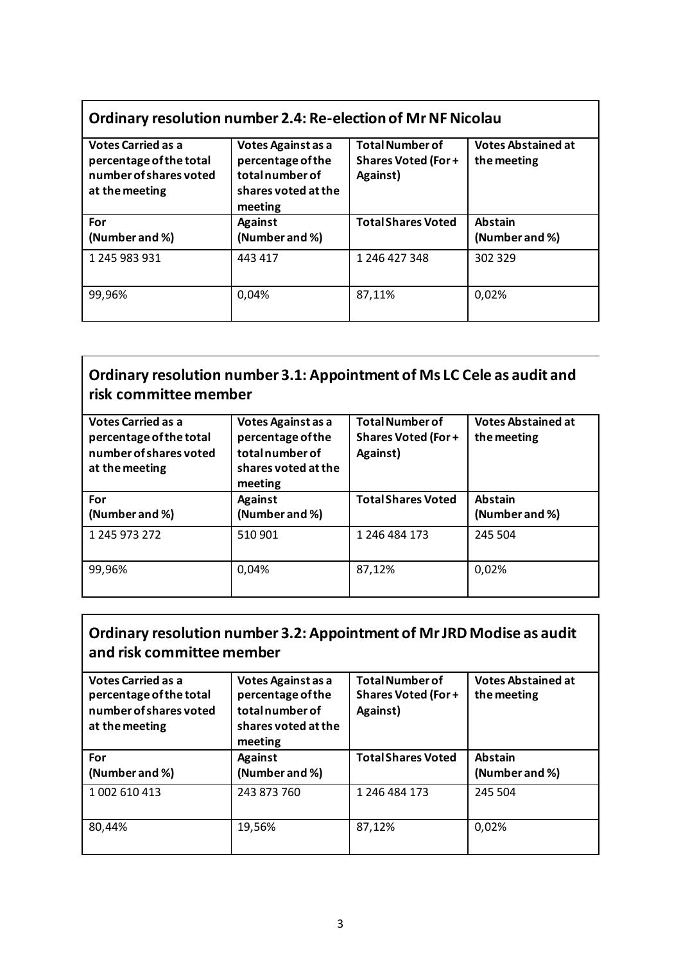# **Ordinary resolution number 2.4: Re-election of Mr NF Nicolau**

| <b>Votes Carried as a</b><br>percentage of the total<br>number of shares voted<br>at the meeting | Votes Against as a<br>percentage of the<br>total number of<br>shares voted at the<br>meeting | <b>Total Number of</b><br><b>Shares Voted (For+</b><br>Against) | <b>Votes Abstained at</b><br>the meeting |
|--------------------------------------------------------------------------------------------------|----------------------------------------------------------------------------------------------|-----------------------------------------------------------------|------------------------------------------|
| For                                                                                              | <b>Against</b>                                                                               | <b>Total Shares Voted</b>                                       | <b>Abstain</b>                           |
| (Number and %)                                                                                   | (Number and %)                                                                               |                                                                 | (Number and %)                           |
| 1 245 983 931                                                                                    | 443 417                                                                                      | 1 246 427 348                                                   | 302 329                                  |
| 99,96%                                                                                           | 0,04%                                                                                        | 87,11%                                                          | 0,02%                                    |

#### **Ordinary resolution number 3.1: Appointment of Ms LC Cele as audit and risk committee member**

| <b>Votes Carried as a</b><br>percentage of the total<br>number of shares voted<br>at the meeting | Votes Against as a<br>percentage of the<br>total number of<br>shares voted at the<br>meeting | <b>Total Number of</b><br><b>Shares Voted (For+</b><br>Against) | <b>Votes Abstained at</b><br>the meeting |
|--------------------------------------------------------------------------------------------------|----------------------------------------------------------------------------------------------|-----------------------------------------------------------------|------------------------------------------|
| For<br>(Number and %)                                                                            | <b>Against</b><br>(Number and %)                                                             | <b>Total Shares Voted</b>                                       | <b>Abstain</b><br>(Number and %)         |
| 1 245 973 272                                                                                    | 510 901                                                                                      | 1 246 484 173                                                   | 245 504                                  |
| 99,96%                                                                                           | 0,04%                                                                                        | 87,12%                                                          | 0,02%                                    |

#### **Ordinary resolution number 3.2: Appointment of Mr JRD Modise as audit and risk committee member**

| <b>Votes Carried as a</b><br>percentage of the total<br>number of shares voted<br>at the meeting | Votes Against as a<br>percentage of the<br>total number of<br>shares voted at the<br>meeting | <b>Total Number of</b><br><b>Shares Voted (For+</b><br>Against) | <b>Votes Abstained at</b><br>the meeting |
|--------------------------------------------------------------------------------------------------|----------------------------------------------------------------------------------------------|-----------------------------------------------------------------|------------------------------------------|
| For<br>(Number and %)                                                                            | <b>Against</b><br>(Number and %)                                                             | <b>Total Shares Voted</b>                                       | <b>Abstain</b><br>(Number and %)         |
| 1 002 610 413                                                                                    | 243 873 760                                                                                  | 1 246 484 173                                                   | 245 504                                  |
| 80,44%                                                                                           | 19,56%                                                                                       | 87,12%                                                          | 0,02%                                    |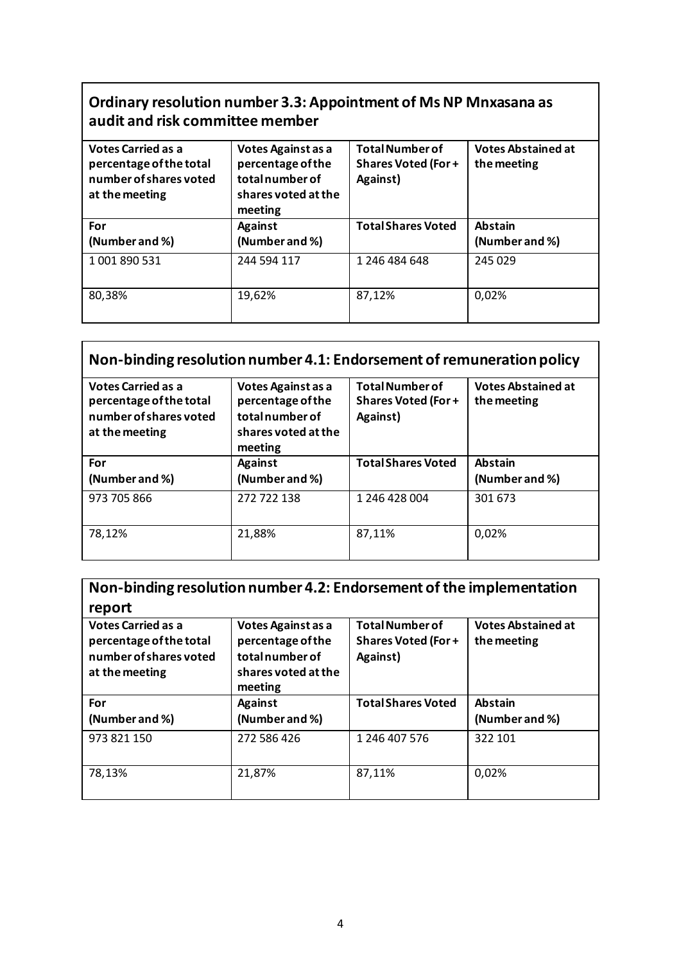#### **Ordinary resolution number 3.3: Appointment of Ms NP Mnxasana as audit and risk committee member**

| <b>Votes Carried as a</b><br>percentage of the total<br>number of shares voted<br>at the meeting | Votes Against as a<br>percentage of the<br>total number of<br>shares voted at the<br>meeting | <b>Total Number of</b><br><b>Shares Voted (For+</b><br>Against) | <b>Votes Abstained at</b><br>the meeting |
|--------------------------------------------------------------------------------------------------|----------------------------------------------------------------------------------------------|-----------------------------------------------------------------|------------------------------------------|
| For                                                                                              | <b>Against</b>                                                                               | <b>Total Shares Voted</b>                                       | <b>Abstain</b>                           |
| (Number and %)                                                                                   | (Number and %)                                                                               |                                                                 | (Number and %)                           |
| 1001890531                                                                                       | 244 594 117                                                                                  | 1 246 484 648                                                   | 245 029                                  |
| 80,38%                                                                                           | 19,62%                                                                                       | 87,12%                                                          | 0,02%                                    |

# **Non-binding resolution number 4.1: Endorsement of remuneration policy**

| <b>Votes Carried as a</b><br>percentage of the total<br>number of shares voted<br>at the meeting | Votes Against as a<br>percentage of the<br>total number of<br>shares voted at the<br>meeting | <b>Total Number of</b><br><b>Shares Voted (For +</b><br>Against) | <b>Votes Abstained at</b><br>the meeting |
|--------------------------------------------------------------------------------------------------|----------------------------------------------------------------------------------------------|------------------------------------------------------------------|------------------------------------------|
| For<br>(Number and %)                                                                            | <b>Against</b><br>(Number and %)                                                             | <b>Total Shares Voted</b>                                        | <b>Abstain</b><br>(Number and %)         |
| 973 705 866                                                                                      | 272 722 138                                                                                  | 1 246 428 004                                                    | 301 673                                  |
| 78,12%                                                                                           | 21,88%                                                                                       | 87,11%                                                           | 0,02%                                    |

| Non-binding resolution number 4.2: Endorsement of the implementation                             |                                                                                             |                                                                 |                                          |
|--------------------------------------------------------------------------------------------------|---------------------------------------------------------------------------------------------|-----------------------------------------------------------------|------------------------------------------|
| report                                                                                           |                                                                                             |                                                                 |                                          |
| <b>Votes Carried as a</b><br>percentage of the total<br>number of shares voted<br>at the meeting | Votes Against as a<br>percentage of the<br>totalnumber of<br>shares voted at the<br>meeting | <b>Total Number of</b><br><b>Shares Voted (For+</b><br>Against) | <b>Votes Abstained at</b><br>the meeting |
| For                                                                                              | <b>Against</b>                                                                              | <b>Total Shares Voted</b>                                       | <b>Abstain</b>                           |
| (Number and %)                                                                                   | (Number and %)                                                                              |                                                                 | (Number and %)                           |
| 973 821 150                                                                                      | 272 586 426                                                                                 | 1 246 407 576                                                   | 322 101                                  |
| 78,13%                                                                                           | 21,87%                                                                                      | 87,11%                                                          | 0,02%                                    |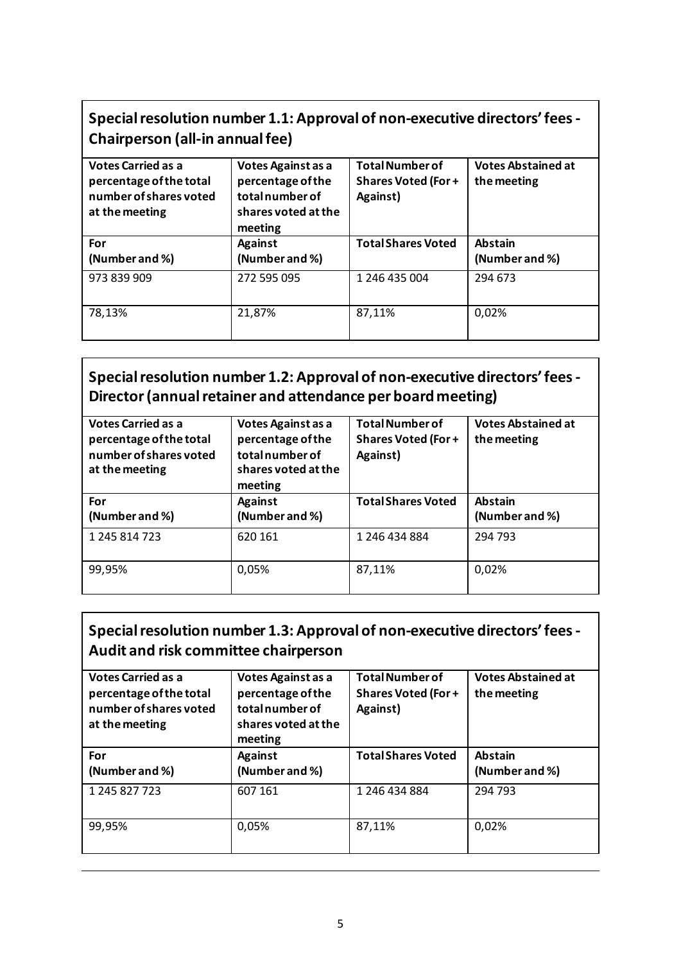## **Special resolution number 1.1: Approval of non-executive directors' fees - Chairperson (all-in annual fee)**

| <b>Votes Carried as a</b><br>percentage of the total<br>number of shares voted<br>at the meeting | Votes Against as a<br>percentage of the<br>total number of<br>shares voted at the<br>meeting | <b>Total Number of</b><br><b>Shares Voted (For+</b><br>Against) | <b>Votes Abstained at</b><br>the meeting |
|--------------------------------------------------------------------------------------------------|----------------------------------------------------------------------------------------------|-----------------------------------------------------------------|------------------------------------------|
| For                                                                                              | <b>Against</b>                                                                               | <b>Total Shares Voted</b>                                       | <b>Abstain</b>                           |
| (Number and %)                                                                                   | (Number and %)                                                                               |                                                                 | (Number and %)                           |
| 973 839 909                                                                                      | 272 595 095                                                                                  | 1 246 435 004                                                   | 294 673                                  |
| 78,13%                                                                                           | 21,87%                                                                                       | 87,11%                                                          | 0,02%                                    |

#### **Special resolution number 1.2: Approval of non-executive directors' fees - Director (annual retainer and attendance per board meeting)**

| <b>Votes Carried as a</b><br>percentage of the total<br>number of shares voted<br>at the meeting | Votes Against as a<br>percentage of the<br>total number of<br>shares voted at the<br>meeting | <b>Total Number of</b><br><b>Shares Voted (For+</b><br>Against) | <b>Votes Abstained at</b><br>the meeting |
|--------------------------------------------------------------------------------------------------|----------------------------------------------------------------------------------------------|-----------------------------------------------------------------|------------------------------------------|
| For<br>(Number and %)                                                                            | <b>Against</b><br>(Number and %)                                                             | <b>Total Shares Voted</b>                                       | <b>Abstain</b><br>(Number and %)         |
| 1 245 814 723                                                                                    | 620 161                                                                                      | 1 246 434 884                                                   | 294 793                                  |
| 99,95%                                                                                           | 0,05%                                                                                        | 87,11%                                                          | 0,02%                                    |

#### **Special resolution number 1.3: Approval of non-executive directors' fees - Audit and risk committee chairperson**

| <b>Votes Carried as a</b><br>percentage of the total<br>number of shares voted<br>at the meeting | Votes Against as a<br>percentage of the<br>total number of<br>shares voted at the<br>meeting | <b>Total Number of</b><br><b>Shares Voted (For+</b><br>Against) | <b>Votes Abstained at</b><br>the meeting |
|--------------------------------------------------------------------------------------------------|----------------------------------------------------------------------------------------------|-----------------------------------------------------------------|------------------------------------------|
| For<br>(Number and %)                                                                            | <b>Against</b><br>(Number and %)                                                             | <b>Total Shares Voted</b>                                       | <b>Abstain</b><br>(Number and %)         |
| 1 245 827 723                                                                                    | 607 161                                                                                      | 1 246 434 884                                                   | 294 793                                  |
| 99,95%                                                                                           | 0,05%                                                                                        | 87,11%                                                          | 0,02%                                    |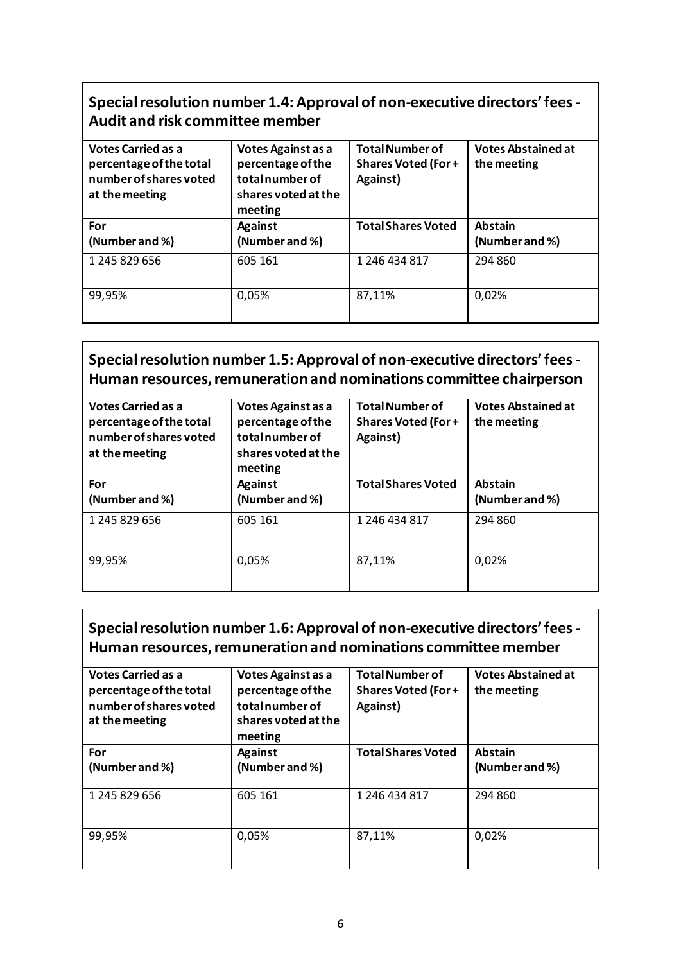#### **Special resolution number 1.4: Approval of non-executive directors' fees - Audit and risk committee member**

| <b>Votes Carried as a</b><br>percentage of the total<br>number of shares voted<br>at the meeting | Votes Against as a<br>percentage of the<br>total number of<br>shares voted at the<br>meeting | <b>Total Number of</b><br><b>Shares Voted (For+</b><br>Against) | <b>Votes Abstained at</b><br>the meeting |
|--------------------------------------------------------------------------------------------------|----------------------------------------------------------------------------------------------|-----------------------------------------------------------------|------------------------------------------|
| For                                                                                              | <b>Against</b>                                                                               | <b>Total Shares Voted</b>                                       | <b>Abstain</b>                           |
| (Number and %)                                                                                   | (Number and %)                                                                               |                                                                 | (Number and %)                           |
| 1 245 829 656                                                                                    | 605 161                                                                                      | 1 246 434 817                                                   | 294 860                                  |
| 99,95%                                                                                           | 0,05%                                                                                        | 87,11%                                                          | 0,02%                                    |

#### **Special resolution number 1.5: Approval of non-executive directors' fees - Human resources, remuneration and nominations committee chairperson**

| <b>Votes Carried as a</b><br>percentage of the total<br>number of shares voted<br>at the meeting | Votes Against as a<br>percentage of the<br>total number of<br>shares voted at the<br>meeting | <b>Total Number of</b><br><b>Shares Voted (For+</b><br>Against) | <b>Votes Abstained at</b><br>the meeting |
|--------------------------------------------------------------------------------------------------|----------------------------------------------------------------------------------------------|-----------------------------------------------------------------|------------------------------------------|
| For<br>(Number and %)                                                                            | <b>Against</b><br>(Number and %)                                                             | <b>Total Shares Voted</b>                                       | <b>Abstain</b><br>(Number and %)         |
| 1 245 829 656                                                                                    | 605 161                                                                                      | 1 246 434 817                                                   | 294 860                                  |
| 99,95%                                                                                           | 0,05%                                                                                        | 87,11%                                                          | 0,02%                                    |

#### **Special resolution number 1.6: Approval of non-executive directors' fees - Human resources, remuneration and nominations committee member**

| <b>Votes Carried as a</b><br>percentage of the total<br>number of shares voted<br>at the meeting | Votes Against as a<br>percentage of the<br>totalnumber of<br>shares voted at the<br>meeting | <b>Total Number of</b><br><b>Shares Voted (For +</b><br>Against) | <b>Votes Abstained at</b><br>the meeting |
|--------------------------------------------------------------------------------------------------|---------------------------------------------------------------------------------------------|------------------------------------------------------------------|------------------------------------------|
| For<br>(Number and %)                                                                            | <b>Against</b><br>(Number and %)                                                            | <b>Total Shares Voted</b>                                        | <b>Abstain</b><br>(Number and %)         |
| 1 245 829 656                                                                                    | 605 161                                                                                     | 1 246 434 817                                                    | 294 860                                  |
| 99,95%                                                                                           | 0,05%                                                                                       | 87,11%                                                           | 0,02%                                    |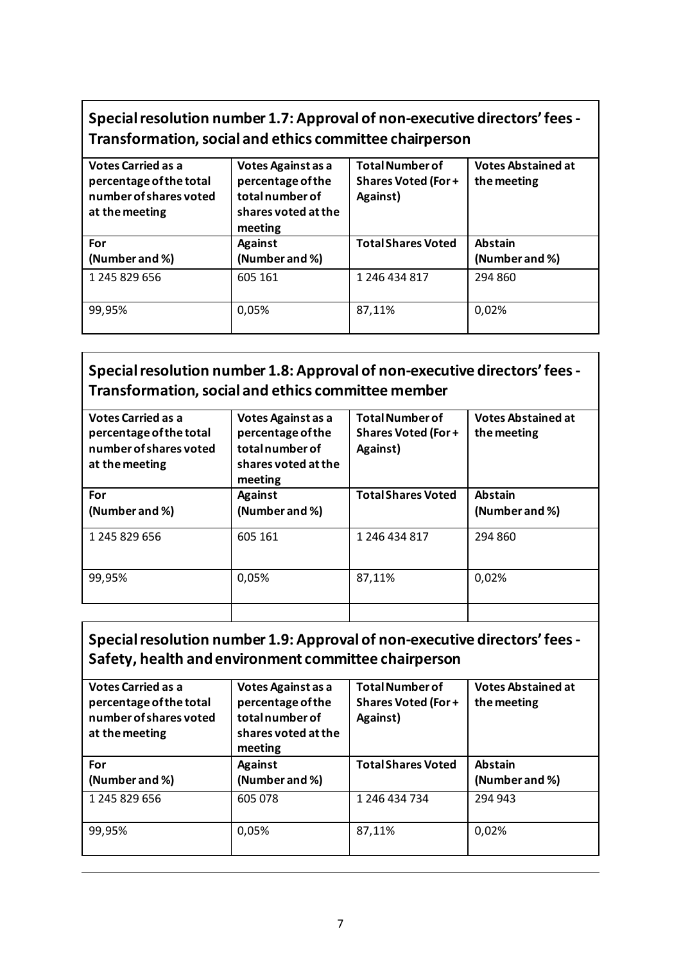# **Special resolution number 1.7: Approval of non-executive directors' fees - Transformation, social and ethics committee chairperson**

| <b>Votes Carried as a</b><br>percentage of the total<br>number of shares voted<br>at the meeting | Votes Against as a<br>percentage of the<br>total number of<br>shares voted at the<br>meeting | <b>Total Number of</b><br><b>Shares Voted (For+</b><br>Against) | <b>Votes Abstained at</b><br>the meeting |
|--------------------------------------------------------------------------------------------------|----------------------------------------------------------------------------------------------|-----------------------------------------------------------------|------------------------------------------|
| For<br>(Number and %)                                                                            | <b>Against</b><br>(Number and %)                                                             | <b>Total Shares Voted</b>                                       | <b>Abstain</b><br>(Number and %)         |
| 1 245 829 656                                                                                    | 605 161                                                                                      | 1 246 434 817                                                   | 294 860                                  |
| 99,95%                                                                                           | 0,05%                                                                                        | 87,11%                                                          | 0,02%                                    |

## **Special resolution number 1.8: Approval of non-executive directors' fees - Transformation, social and ethics committee member**

| <b>Votes Carried as a</b><br>percentage of the total<br>number of shares voted<br>at the meeting | Votes Against as a<br>percentage of the<br>totalnumber of<br>shares voted at the<br>meeting | <b>Total Number of</b><br><b>Shares Voted (For +</b><br>Against) | <b>Votes Abstained at</b><br>the meeting |
|--------------------------------------------------------------------------------------------------|---------------------------------------------------------------------------------------------|------------------------------------------------------------------|------------------------------------------|
| For                                                                                              | <b>Against</b>                                                                              | <b>Total Shares Voted</b>                                        | <b>Abstain</b>                           |
|                                                                                                  |                                                                                             |                                                                  |                                          |
| (Number and %)                                                                                   | (Number and %)                                                                              |                                                                  | (Number and %)                           |
| 1 245 829 656                                                                                    | 605 161                                                                                     | 1 246 434 817                                                    | 294 860                                  |
| 99,95%                                                                                           | 0,05%                                                                                       | 87,11%                                                           | 0,02%                                    |
|                                                                                                  |                                                                                             |                                                                  |                                          |

#### **Special resolution number 1.9: Approval of non-executive directors' fees - Safety, health and environment committee chairperson**

| <b>Votes Carried as a</b><br>percentage of the total<br>number of shares voted<br>at the meeting | Votes Against as a<br>percentage of the<br>totalnumber of<br>shares voted at the<br>meeting | <b>Total Number of</b><br><b>Shares Voted (For+</b><br>Against) | <b>Votes Abstained at</b><br>the meeting |
|--------------------------------------------------------------------------------------------------|---------------------------------------------------------------------------------------------|-----------------------------------------------------------------|------------------------------------------|
| For<br>(Number and %)                                                                            | <b>Against</b><br>(Number and %)                                                            | <b>Total Shares Voted</b>                                       | <b>Abstain</b><br>(Number and %)         |
| 1 245 829 656                                                                                    | 605 078                                                                                     | 1 246 434 734                                                   | 294 943                                  |
| 99,95%                                                                                           | 0,05%                                                                                       | 87,11%                                                          | 0,02%                                    |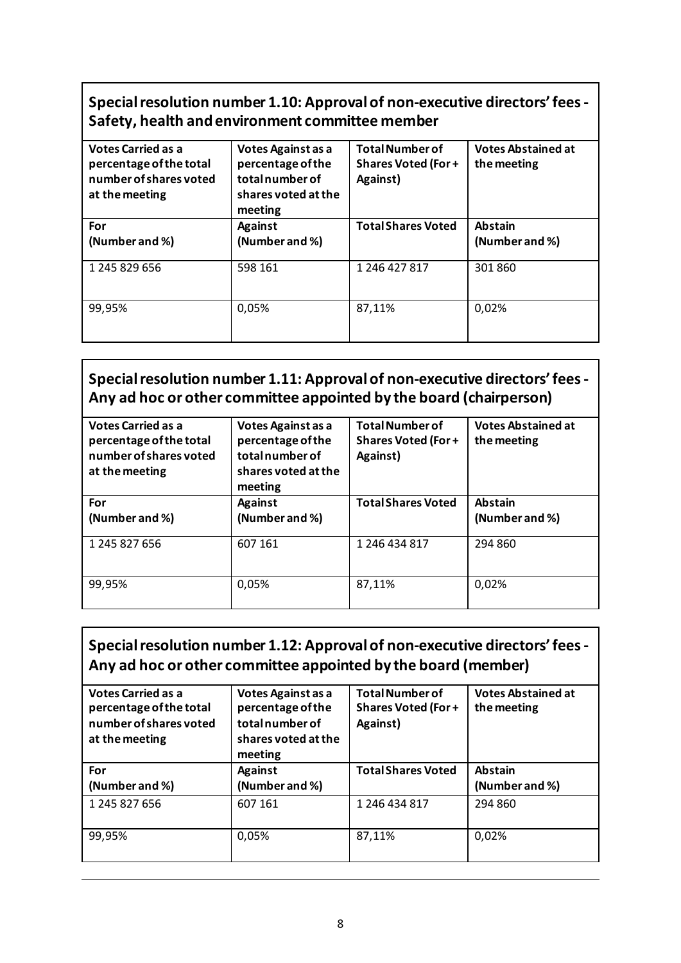#### **Special resolution number 1.10: Approval of non-executive directors' fees - Safety, health and environment committee member**

| <b>Votes Carried as a</b><br>percentage of the total<br>number of shares voted<br>at the meeting | Votes Against as a<br>percentage of the<br>total number of<br>shares voted at the<br>meeting | <b>Total Number of</b><br><b>Shares Voted (For+</b><br>Against) | <b>Votes Abstained at</b><br>the meeting |
|--------------------------------------------------------------------------------------------------|----------------------------------------------------------------------------------------------|-----------------------------------------------------------------|------------------------------------------|
| For<br>(Number and %)                                                                            | <b>Against</b><br>(Number and %)                                                             | <b>Total Shares Voted</b>                                       | <b>Abstain</b><br>(Number and %)         |
| 1 245 829 656                                                                                    | 598 161                                                                                      | 1 246 427 817                                                   | 301860                                   |
| 99,95%                                                                                           | 0,05%                                                                                        | 87,11%                                                          | 0,02%                                    |

#### **Special resolution number 1.11: Approval of non-executive directors' fees - Any ad hoc or other committee appointed by the board (chairperson)**

| <b>Votes Carried as a</b><br>percentage of the total<br>number of shares voted<br>at the meeting | Votes Against as a<br>percentage of the<br>total number of<br>shares voted at the<br>meeting | <b>Total Number of</b><br><b>Shares Voted (For+</b><br>Against) | <b>Votes Abstained at</b><br>the meeting |
|--------------------------------------------------------------------------------------------------|----------------------------------------------------------------------------------------------|-----------------------------------------------------------------|------------------------------------------|
| For                                                                                              | <b>Against</b>                                                                               | <b>Total Shares Voted</b>                                       | <b>Abstain</b>                           |
| (Number and %)                                                                                   | (Number and %)                                                                               |                                                                 | (Number and %)                           |
| 1 245 827 656                                                                                    | 607 161                                                                                      | 1 246 434 817                                                   | 294 860                                  |
| 99,95%                                                                                           | 0,05%                                                                                        | 87,11%                                                          | 0,02%                                    |

## **Special resolution number 1.12: Approval of non-executive directors' fees - Any ad hoc or other committee appointed by the board (member)**

| <b>Votes Carried as a</b><br>percentage of the total<br>number of shares voted<br>at the meeting | Votes Against as a<br>percentage of the<br>total number of<br>shares voted at the<br>meeting | <b>Total Number of</b><br><b>Shares Voted (For+</b><br>Against) | <b>Votes Abstained at</b><br>the meeting |
|--------------------------------------------------------------------------------------------------|----------------------------------------------------------------------------------------------|-----------------------------------------------------------------|------------------------------------------|
| For<br>(Number and %)                                                                            | <b>Against</b><br>(Number and %)                                                             | <b>Total Shares Voted</b>                                       | <b>Abstain</b><br>(Number and %)         |
| 1 245 827 656                                                                                    | 607 161                                                                                      | 1 246 434 817                                                   | 294 860                                  |
| 99,95%                                                                                           | 0,05%                                                                                        | 87,11%                                                          | 0,02%                                    |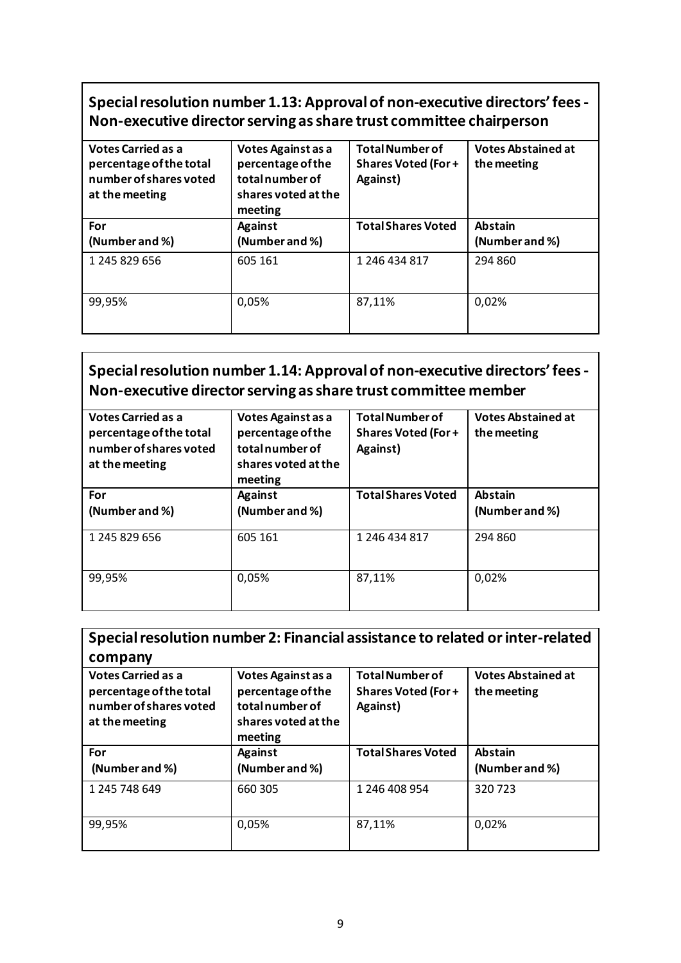#### **Special resolution number 1.13: Approval of non-executive directors' fees - Non-executive director serving as share trust committee chairperson**

| <b>Votes Carried as a</b><br>percentage of the total<br>number of shares voted<br>at the meeting | Votes Against as a<br>percentage of the<br>total number of<br>shares voted at the<br>meeting | <b>Total Number of</b><br><b>Shares Voted (For+</b><br>Against) | <b>Votes Abstained at</b><br>the meeting |
|--------------------------------------------------------------------------------------------------|----------------------------------------------------------------------------------------------|-----------------------------------------------------------------|------------------------------------------|
| For<br>(Number and %)                                                                            | <b>Against</b><br>(Number and %)                                                             | <b>Total Shares Voted</b>                                       | <b>Abstain</b><br>(Number and %)         |
| 1 245 829 656                                                                                    | 605 161                                                                                      | 1 246 434 817                                                   | 294 860                                  |
| 99,95%                                                                                           | 0,05%                                                                                        | 87,11%                                                          | 0,02%                                    |

## **Special resolution number 1.14: Approval of non-executive directors' fees - Non-executive director serving as share trust committee member**

| <b>Votes Carried as a</b><br>percentage of the total<br>number of shares voted<br>at the meeting | Votes Against as a<br>percentage of the<br>total number of<br>shares voted at the<br>meeting | <b>Total Number of</b><br><b>Shares Voted (For+</b><br>Against) | <b>Votes Abstained at</b><br>the meeting |
|--------------------------------------------------------------------------------------------------|----------------------------------------------------------------------------------------------|-----------------------------------------------------------------|------------------------------------------|
| For<br>(Number and %)                                                                            | <b>Against</b><br>(Number and %)                                                             | <b>Total Shares Voted</b>                                       | <b>Abstain</b><br>(Number and %)         |
| 1 245 829 656                                                                                    | 605 161                                                                                      | 1 246 434 817                                                   | 294 860                                  |
| 99,95%                                                                                           | 0,05%                                                                                        | 87,11%                                                          | 0,02%                                    |

| Special resolution number 2: Financial assistance to related or inter-related<br>company         |                                                                                             |                                                                  |                                          |  |  |
|--------------------------------------------------------------------------------------------------|---------------------------------------------------------------------------------------------|------------------------------------------------------------------|------------------------------------------|--|--|
| <b>Votes Carried as a</b><br>percentage of the total<br>number of shares voted<br>at the meeting | Votes Against as a<br>percentage of the<br>totalnumber of<br>shares voted at the<br>meeting | <b>Total Number of</b><br><b>Shares Voted (For +</b><br>Against) | <b>Votes Abstained at</b><br>the meeting |  |  |
| For                                                                                              | <b>Against</b>                                                                              | <b>Total Shares Voted</b>                                        | <b>Abstain</b>                           |  |  |
| (Number and %)                                                                                   | (Number and %)                                                                              |                                                                  | (Number and %)                           |  |  |
| 1 245 748 649                                                                                    | 660 305                                                                                     | 1 246 408 954                                                    | 320723                                   |  |  |
| 99,95%                                                                                           | 0,05%                                                                                       | 87,11%                                                           | 0,02%                                    |  |  |